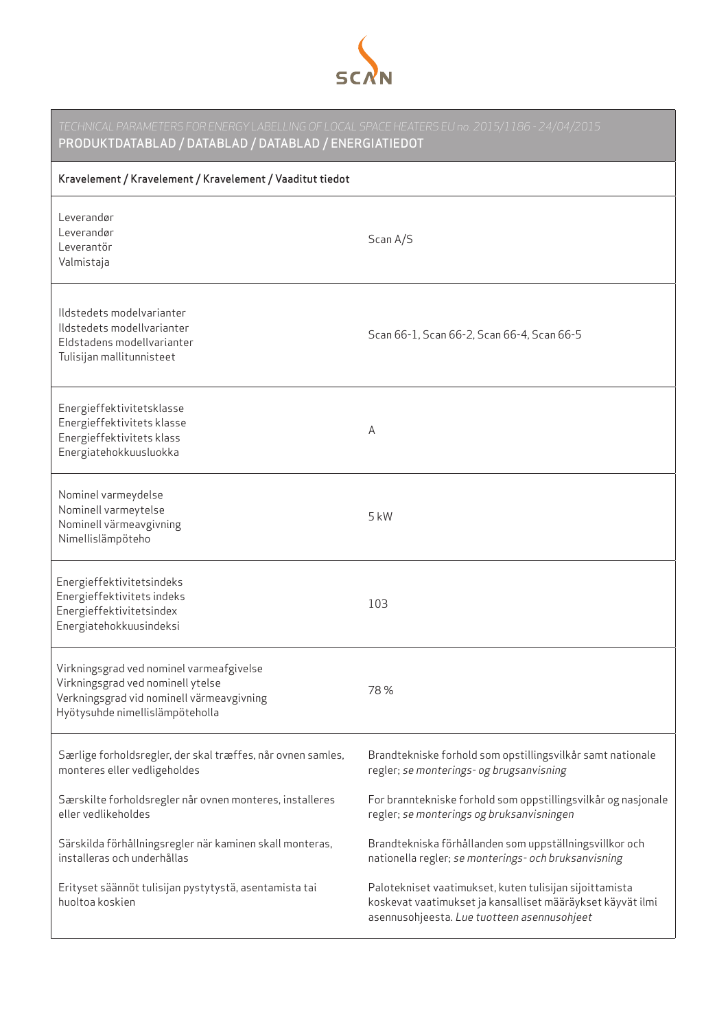

| TECHNICAL PARAMETERS FOR ENERGY LABELLING OF LOCAL SPACE HEATERS EU no. 2015/1186 - 24/04/2015<br>PRODUKTDATABLAD / DATABLAD / DATABLAD / ENERGIATIEDOT       |                                                                                                                                                                      |  |
|---------------------------------------------------------------------------------------------------------------------------------------------------------------|----------------------------------------------------------------------------------------------------------------------------------------------------------------------|--|
| Kravelement / Kravelement / Kravelement / Vaaditut tiedot                                                                                                     |                                                                                                                                                                      |  |
| Leverandør<br>Leverandør<br>Leverantör<br>Valmistaja                                                                                                          | Scan A/S                                                                                                                                                             |  |
| Ildstedets modelvarianter<br>Ildstedets modellvarianter<br>Eldstadens modellvarianter<br>Tulisijan mallitunnisteet                                            | Scan 66-1, Scan 66-2, Scan 66-4, Scan 66-5                                                                                                                           |  |
| Energieffektivitetsklasse<br>Energieffektivitets klasse<br>Energieffektivitets klass<br>Energiatehokkuusluokka                                                | Α                                                                                                                                                                    |  |
| Nominel varmeydelse<br>Nominell varmeytelse<br>Nominell värmeavgivning<br>Nimellislämpöteho                                                                   | $5$ kW                                                                                                                                                               |  |
| Energieffektivitetsindeks<br>Energieffektivitets indeks<br>Energieffektivitetsindex<br>Energiatehokkuusindeksi                                                | 103                                                                                                                                                                  |  |
| Virkningsgrad ved nominel varmeafgivelse<br>Virkningsgrad ved nominell ytelse<br>Verkningsgrad vid nominell värmeavgivning<br>Hyötysuhde nimellislämpöteholla | 78%                                                                                                                                                                  |  |
| Særlige forholdsregler, der skal træffes, når ovnen samles,<br>monteres eller vedligeholdes                                                                   | Brandtekniske forhold som opstillingsvilkår samt nationale<br>regler; se monterings- og brugsanvisning                                                               |  |
| Særskilte forholdsregler når ovnen monteres, installeres<br>eller vedlikeholdes                                                                               | For branntekniske forhold som oppstillingsvilkår og nasjonale<br>regler; se monterings og bruksanvisningen                                                           |  |
| Särskilda förhållningsregler när kaminen skall monteras,<br>installeras och underhållas                                                                       | Brandtekniska förhållanden som uppställningsvillkor och<br>nationella regler; se monterings- och bruksanvisning                                                      |  |
| Erityset säännöt tulisijan pystytystä, asentamista tai<br>huoltoa koskien                                                                                     | Palotekniset vaatimukset, kuten tulisijan sijoittamista<br>koskevat vaatimukset ja kansalliset määräykset käyvät ilmi<br>asennusohjeesta. Lue tuotteen asennusohjeet |  |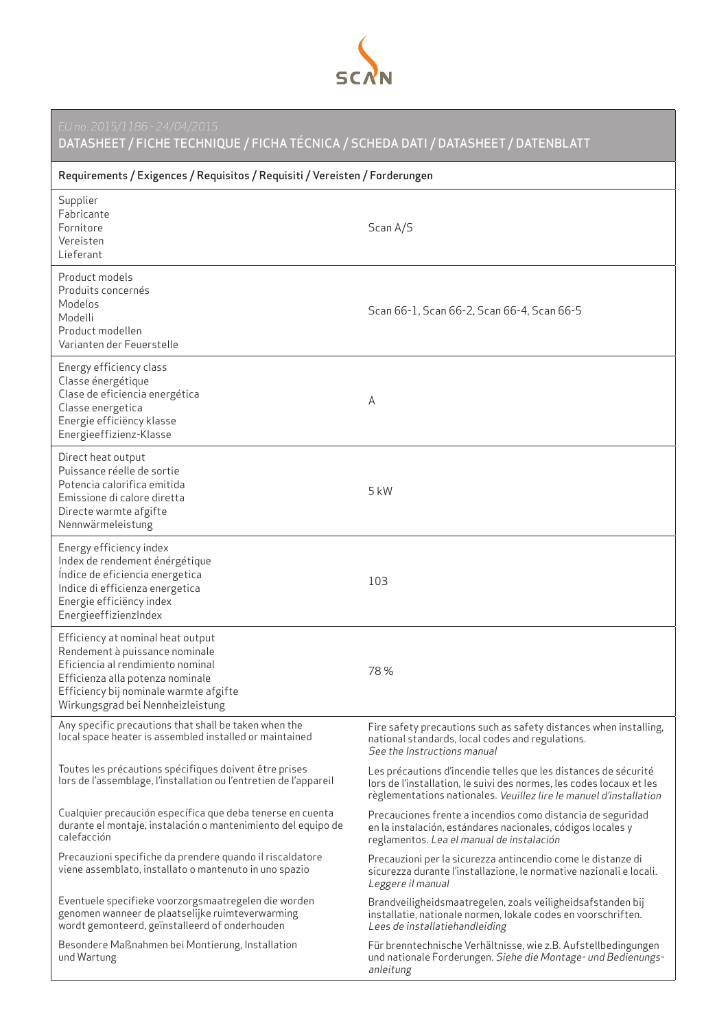

DATASHEET / FICHE TECHNIQUE / FICHA TÉCNICA / SCHEDA DATI / DATASHEET / DATENBLATT

| Requirements / Exigences / Requisitos / Requisiti / Vereisten / Forderungen                                                                                                                                                 |                                                                                                                                                                                                               |  |
|-----------------------------------------------------------------------------------------------------------------------------------------------------------------------------------------------------------------------------|---------------------------------------------------------------------------------------------------------------------------------------------------------------------------------------------------------------|--|
| Supplier<br>Fabricante<br>Fornitore<br>Vereisten<br>Lieferant                                                                                                                                                               | Scan A/S                                                                                                                                                                                                      |  |
| Product models<br>Produits concernés<br>Modelos<br>Modelli<br>Product modellen<br>Varianten der Feuerstelle                                                                                                                 | Scan 66-1, Scan 66-2, Scan 66-4, Scan 66-5                                                                                                                                                                    |  |
| Energy efficiency class<br>Classe énergétique<br>Clase de eficiencia energética<br>Classe energetica<br>Energie efficiëncy klasse<br>Energieeffizienz-Klasse                                                                | А                                                                                                                                                                                                             |  |
| Direct heat output<br>Puissance réelle de sortie<br>Potencia calorifica emitida<br>Emissione di calore diretta<br>Directe warmte afgifte<br>Nennwärmeleistung                                                               | 5 kW                                                                                                                                                                                                          |  |
| Energy efficiency index<br>Index de rendement énérgétique<br>Índice de eficiencia energetica<br>Indice di efficienza energetica<br>Energie efficiëncy index<br>EnergieeffizienzIndex                                        | 103                                                                                                                                                                                                           |  |
| Efficiency at nominal heat output<br>Rendement à puissance nominale<br>Eficiencia al rendimiento nominal<br>Efficienza alla potenza nominale<br>Efficiency bij nominale warmte afgifte<br>Wirkungsgrad bei Nennheizleistung | 78%                                                                                                                                                                                                           |  |
| Any specific precautions that shall be taken when the<br>local space heater is assembled installed or maintained                                                                                                            | Fire safety precautions such as safety distances when installing,<br>national standards, local codes and regulations.<br>See the Instructions manual                                                          |  |
| Toutes les précautions spécifiques doivent être prises<br>lors de l'assemblage, l'installation ou l'entretien de l'appareil                                                                                                 | Les précautions d'incendie telles que les distances de sécurité<br>lors de l'installation, le suivi des normes, les codes locaux et les<br>règlementations nationales. Veuillez lire le manuel d'installation |  |
| Cualquier precaución específica que deba tenerse en cuenta<br>durante el montaje, instalación o mantenimiento del equipo de<br>calefacción                                                                                  | Precauciones frente a incendios como distancia de seguridad<br>en la instalación, estándares nacionales, códigos locales y<br>reglamentos. Lea el manual de instalación                                       |  |
| Precauzioni specifiche da prendere quando il riscaldatore<br>viene assemblato, installato o mantenuto in uno spazio                                                                                                         | Precauzioni per la sicurezza antincendio come le distanze di<br>sicurezza durante l'installazione, le normative nazionali e locali.<br>Leggere il manual                                                      |  |
| Eventuele specifieke voorzorgsmaatregelen die worden<br>genomen wanneer de plaatselijke ruimteverwarming<br>wordt gemonteerd, geïnstalleerd of onderhouden                                                                  | Brandveiligheidsmaatregelen, zoals veiligheidsafstanden bij<br>installatie, nationale normen, lokale codes en voorschriften.<br>Lees de installatiehandleiding                                                |  |
| Besondere Maßnahmen bei Montierung, Installation<br>und Wartung                                                                                                                                                             | Für brenntechnische Verhältnisse, wie z.B. Aufstellbedingungen<br>und nationale Forderungen. Siehe die Montage- und Bedienungs-<br>anleitung                                                                  |  |